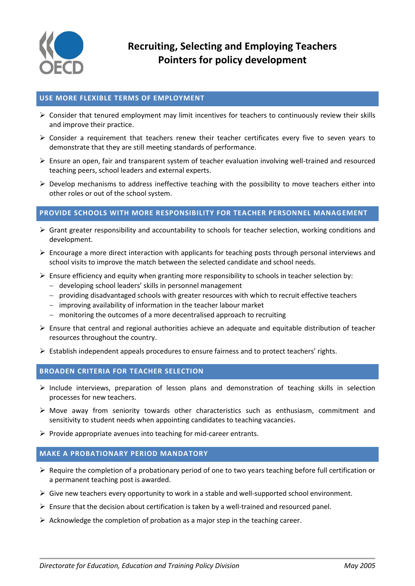

## **USE MORE FLEXIBLE TERMS OF EMPLOYMENT**

- $\triangleright$  Consider that tenured employment may limit incentives for teachers to continuously review their skills and improve their practice.
- $\triangleright$  Consider a requirement that teachers renew their teacher certificates every five to seven years to demonstrate that they are still meeting standards of performance.
- $\triangleright$  Ensure an open, fair and transparent system of teacher evaluation involving well-trained and resourced teaching peers, school leaders and external experts.
- $\triangleright$  Develop mechanisms to address ineffective teaching with the possibility to move teachers either into other roles or out of the school system.

# **PROVIDE SCHOOLS WITH MORE RESPONSIBILITY FOR TEACHER PERSONNEL MANAGEMENT**

- $\triangleright$  Grant greater responsibility and accountability to schools for teacher selection, working conditions and development.
- $\triangleright$  Encourage a more direct interaction with applicants for teaching posts through personal interviews and school visits to improve the match between the selected candidate and school needs.
- $\triangleright$  Ensure efficiency and equity when granting more responsibility to schools in teacher selection by:
	- developing school leaders' skills in personnel management
	- providing disadvantaged schools with greater resources with which to recruit effective teachers
	- $-$  improving availability of information in the teacher labour market
	- monitoring the outcomes of a more decentralised approach to recruiting
- $\triangleright$  Ensure that central and regional authorities achieve an adequate and equitable distribution of teacher resources throughout the country.
- $\triangleright$  Establish independent appeals procedures to ensure fairness and to protect teachers' rights.

#### **BROADEN CRITERIA FOR TEACHER SELECTION**

- $\triangleright$  Include interviews, preparation of lesson plans and demonstration of teaching skills in selection processes for new teachers.
- $\triangleright$  Move away from seniority towards other characteristics such as enthusiasm, commitment and sensitivity to student needs when appointing candidates to teaching vacancies.
- $\triangleright$  Provide appropriate avenues into teaching for mid-career entrants.

### **MAKE A PROBATIONARY PERIOD MANDATORY**

- $\triangleright$  Require the completion of a probationary period of one to two years teaching before full certification or a permanent teaching post is awarded.
- $\triangleright$  Give new teachers every opportunity to work in a stable and well-supported school environment.
- $\triangleright$  Ensure that the decision about certification is taken by a well-trained and resourced panel.
- $\triangleright$  Acknowledge the completion of probation as a major step in the teaching career.